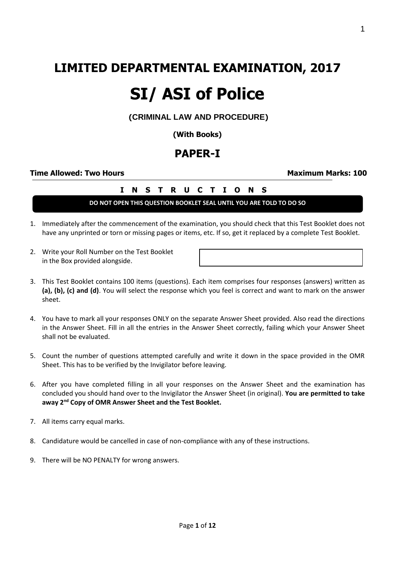## **LIMITED DEPARTMENTAL EXAMINATION, 2017**

# **SI/ ASI of Police**

**(CRIMINAL LAW AND PROCEDURE)**

**(With Books)**

## **PAPER-I**

#### **Time Allowed: Two Hours Maximum Marks: 100**

#### **I N S T R U C T I O N S**

**DO NOT OPEN THIS QUESTION BOOKLET SEAL UNTIL YOU ARE TOLD TO DO SO**

- 1. Immediately after the commencement of the examination, you should check that this Test Booklet does not have any unprinted or torn or missing pages or items, etc. If so, get it replaced by a complete Test Booklet.
- 2. Write your Roll Number on the Test Booklet in the Box provided alongside.
- 3. This Test Booklet contains 100 items (questions). Each item comprises four responses (answers) written as **(a), (b), (c) and (d)**. You will select the response which you feel is correct and want to mark on the answer sheet.
- 4. You have to mark all your responses ONLY on the separate Answer Sheet provided. Also read the directions in the Answer Sheet. Fill in all the entries in the Answer Sheet correctly, failing which your Answer Sheet shall not be evaluated.
- 5. Count the number of questions attempted carefully and write it down in the space provided in the OMR Sheet. This has to be verified by the Invigilator before leaving.
- 6. After you have completed filling in all your responses on the Answer Sheet and the examination has concluded you should hand over to the Invigilator the Answer Sheet (in original). **You are permitted to take away 2nd Copy of OMR Answer Sheet and the Test Booklet.**
- 7. All items carry equal marks.
- 8. Candidature would be cancelled in case of non-compliance with any of these instructions.
- 9. There will be NO PENALTY for wrong answers.

1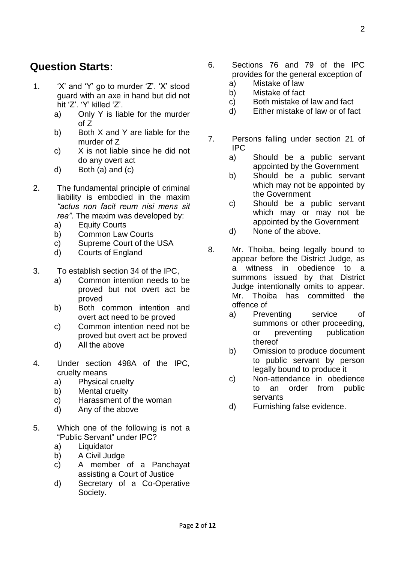### **Question Starts:**

- 1. 'X' and 'Y' go to murder 'Z'. 'X' stood guard with an axe in hand but did not hit 'Z'. 'Y' killed 'Z'.
	- a) Only Y is liable for the murder of Z
	- b) Both X and Y are liable for the murder of Z
	- c) X is not liable since he did not do any overt act
	- d) Both (a) and (c)
- 2. The fundamental principle of criminal liability is embodied in the maxim *"actus non facit reum nisi mens sit rea"*. The maxim was developed by:
	- a) Equity Courts
	- b) Common Law Courts
	- c) Supreme Court of the USA
	- d) Courts of England
- 3. To establish section 34 of the IPC,
	- a) Common intention needs to be proved but not overt act be proved
	- b) Both common intention and overt act need to be proved
	- c) Common intention need not be proved but overt act be proved
	- d) All the above
- 4. Under section 498A of the IPC, cruelty means
	- a) Physical cruelty
	- b) Mental cruelty
	- c) Harassment of the woman
	- d) Any of the above
- 5. Which one of the following is not a "Public Servant" under IPC?
	- a) Liquidator
	- b) A Civil Judge
	- c) A member of a Panchayat assisting a Court of Justice
	- d) Secretary of a Co-Operative Society.
- 6. Sections 76 and 79 of the IPC provides for the general exception of
	- a) Mistake of law
	- b) Mistake of fact
	- c) Both mistake of law and fact
	- d) Either mistake of law or of fact
- 7. Persons falling under section 21 of IPC
	- a) Should be a public servant appointed by the Government
	- b) Should be a public servant which may not be appointed by the Government
	- c) Should be a public servant which may or may not be appointed by the Government
	- d) None of the above.
- 8. Mr. Thoiba, being legally bound to appear before the District Judge, as a witness in obedience to a summons issued by that District Judge intentionally omits to appear. Mr. Thoiba has committed the offence of
	- a) Preventing service of summons or other proceeding, or preventing publication thereof
	- b) Omission to produce document to public servant by person legally bound to produce it
	- c) Non-attendance in obedience to an order from public servants
	- d) Furnishing false evidence.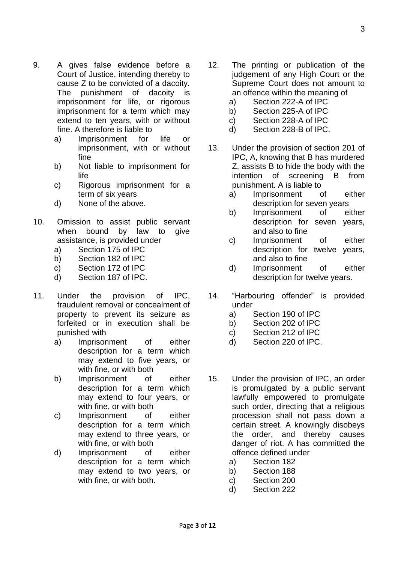- 9. A gives false evidence before a Court of Justice, intending thereby to cause Z to be convicted of a dacoity. The punishment of dacoity is imprisonment for life, or rigorous imprisonment for a term which may extend to ten years, with or without fine. A therefore is liable to
	- a) Imprisonment for life or imprisonment, with or without fine
	- b) Not liable to imprisonment for life
	- c) Rigorous imprisonment for a term of six years
	- d) None of the above.
- 10. Omission to assist public servant when bound by law to give assistance, is provided under
	- a) Section 175 of IPC
	- b) Section 182 of IPC
	- c) Section 172 of IPC
	- d) Section 187 of IPC.
- 11. Under the provision of IPC, fraudulent removal or concealment of property to prevent its seizure as forfeited or in execution shall be punished with
	- a) Imprisonment of either description for a term which may extend to five years, or with fine, or with both
	- b) Imprisonment of either description for a term which may extend to four years, or with fine, or with both
	- c) Imprisonment of either description for a term which may extend to three years, or with fine, or with both
	- d) Imprisonment of either description for a term which may extend to two years, or with fine, or with both.
- 12. The printing or publication of the judgement of any High Court or the Supreme Court does not amount to an offence within the meaning of
	- a) Section 222-A of IPC
	- b) Section 225-A of IPC
	- c) Section 228-A of IPC
	- d) Section 228-B of IPC.
- 13. Under the provision of section 201 of IPC, A, knowing that B has murdered Z, assists B to hide the body with the intention of screening B from punishment. A is liable to
	- a) Imprisonment of either description for seven years
	- b) Imprisonment of either description for seven years, and also to fine
	- c) Imprisonment of either description for twelve years, and also to fine
	- d) Imprisonment of either description for twelve years.
- 14. "Harbouring offender" is provided under
	- a) Section 190 of IPC
	- b) Section 202 of IPC
	- c) Section 212 of IPC
	- d) Section 220 of IPC.
- 15. Under the provision of IPC, an order is promulgated by a public servant lawfully empowered to promulgate such order, directing that a religious procession shall not pass down a certain street. A knowingly disobeys the order, and thereby causes danger of riot. A has committed the offence defined under
	- a) Section 182
	- b) Section 188
	- c) Section 200
	- d) Section 222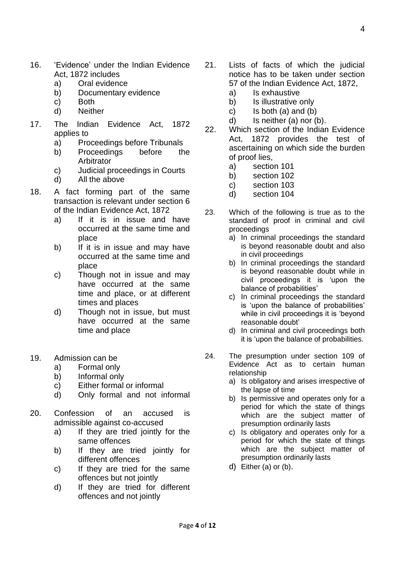- 16. 'Evidence' under the Indian Evidence Act, 1872 includes
	- a) Oral evidence
	- b) Documentary evidence
	- c) Both
	- d) Neither
- 17. The Indian Evidence Act, 1872 applies to
	- a) Proceedings before Tribunals
	- b) Proceedings before the Arbitrator
	- c) Judicial proceedings in Courts
	- d) All the above
- 18. A fact forming part of the same transaction is relevant under section 6 of the Indian Evidence Act, 1872
	- a) If it is in issue and have occurred at the same time and place
	- b) If it is in issue and may have occurred at the same time and place
	- c) Though not in issue and may have occurred at the same time and place, or at different times and places
	- d) Though not in issue, but must have occurred at the same time and place
- 19. Admission can be
	- a) Formal only
	- b) Informal only
	- c) Either formal or informal
	- d) Only formal and not informal
- 20. Confession of an accused is admissible against co-accused
	- a) If they are tried jointly for the same offences
	- b) If they are tried jointly for different offences
	- c) If they are tried for the same offences but not jointly
	- d) If they are tried for different offences and not jointly
- 21. Lists of facts of which the judicial notice has to be taken under section 57 of the Indian Evidence Act, 1872,
	- a) Is exhaustive
	- b) Is illustrative only
	- c) Is both  $(a)$  and  $(b)$
	- d) Is neither (a) nor (b).
- 22. Which section of the Indian Evidence Act, 1872 provides the test of ascertaining on which side the burden of proof lies,
	- a) section 101
	- b) section 102
	- c) section 103
	- d) section 104
- 23. Which of the following is true as to the standard of proof in criminal and civil proceedings
	- a) In criminal proceedings the standard is beyond reasonable doubt and also in civil proceedings
	- b) In criminal proceedings the standard is beyond reasonable doubt while in civil proceedings it is 'upon the balance of probabilities'
	- c) In criminal proceedings the standard is 'upon the balance of probabilities' while in civil proceedings it is 'beyond reasonable doubt'
	- d) In criminal and civil proceedings both it is 'upon the balance of probabilities.
- 24. The presumption under section 109 of Evidence Act as to certain human relationship
	- a) Is obligatory and arises irrespective of the lapse of time
	- b) Is permissive and operates only for a period for which the state of things which are the subject matter of presumption ordinarily lasts
	- c) Is obligatory and operates only for a period for which the state of things which are the subject matter of presumption ordinarily lasts
	- d) Either (a) or (b).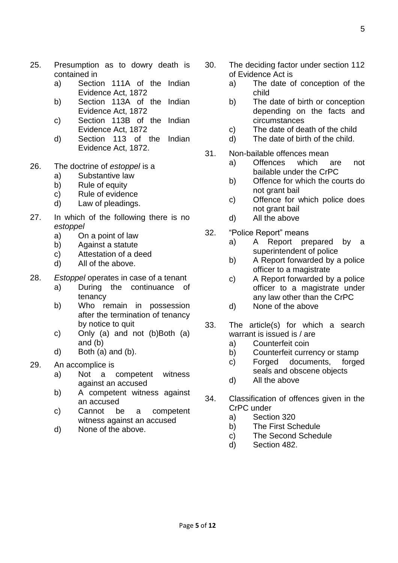- 25. Presumption as to dowry death is contained in
	- a) Section 111A of the Indian Evidence Act, 1872
	- b) Section 113A of the Indian Evidence Act, 1872
	- c) Section 113B of the Indian Evidence Act, 1872
	- d) Section 113 of the Indian Evidence Act, 1872.
- 26. The doctrine of *estoppel* is a
	- a) Substantive law
	- b) Rule of equity
	- c) Rule of evidence
	- d) Law of pleadings.
- 27. In which of the following there is no *estoppel*
	- a) On a point of law
	- b) Against a statute
	- c) Attestation of a deed
	- d) All of the above.
- 28. *Estoppel* operates in case of a tenant
	- a) During the continuance of tenancy
	- b) Who remain in possession after the termination of tenancy by notice to quit
	- c) Only (a) and not (b)Both (a) and (b)
	- d) Both (a) and (b).
- 29. An accomplice is
	- a) Not a competent witness against an accused
	- b) A competent witness against an accused
	- c) Cannot be a competent witness against an accused
	- d) None of the above.
- 30. The deciding factor under section 112 of Evidence Act is
	- a) The date of conception of the child
	- b) The date of birth or conception depending on the facts and circumstances
	- c) The date of death of the child
	- d) The date of birth of the child.
- 31. Non-bailable offences mean
	- a) Offences which are not bailable under the CrPC
	- b) Offence for which the courts do not grant bail
	- c) Offence for which police does not grant bail
	- d) All the above
- 32. "Police Report" means
	- a) A Report prepared by a superintendent of police
	- b) A Report forwarded by a police officer to a magistrate
	- c) A Report forwarded by a police officer to a magistrate under any law other than the CrPC
	- d) None of the above
- 33. The article(s) for which a search warrant is issued is / are
	- a) Counterfeit coin
	- b) Counterfeit currency or stamp
	- c) Forged documents, forged seals and obscene objects
	- d) All the above
- 34. Classification of offences given in the CrPC under
	- a) Section 320
	- b) The First Schedule
	- c) The Second Schedule
	- d) Section 482.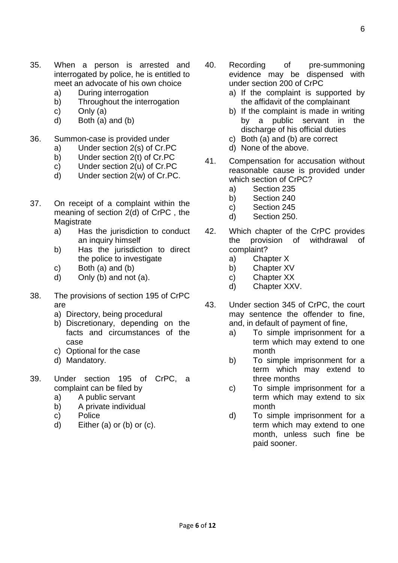- 35. When a person is arrested and interrogated by police, he is entitled to meet an advocate of his own choice
	- a) During interrogation
	- b) Throughout the interrogation
	- c) Only (a)
	- d) Both (a) and (b)
- 36. Summon-case is provided under
	- a) Under section 2(s) of Cr.PC
	- b) Under section 2(t) of Cr.PC
	- c) Under section 2(u) of Cr.PC
	- d) Under section 2(w) of Cr.PC.
- 37. On receipt of a complaint within the meaning of section 2(d) of CrPC , the **Magistrate** 
	- a) Has the jurisdiction to conduct an inquiry himself
	- b) Has the jurisdiction to direct the police to investigate
	- c) Both  $(a)$  and  $(b)$
	- d) Only (b) and not (a).
- 38. The provisions of section 195 of CrPC are
	- a) Directory, being procedural
	- b) Discretionary, depending on the facts and circumstances of the case
	- c) Optional for the case
	- d) Mandatory.
- 39. Under section 195 of CrPC, a complaint can be filed by
	- a) A public servant
	- b) A private individual
	- c) Police
	- d) Either (a) or (b) or (c).
- 40. Recording of pre-summoning evidence may be dispensed with under section 200 of CrPC
	- a) If the complaint is supported by the affidavit of the complainant
	- b) If the complaint is made in writing by a public servant in the discharge of his official duties
	- c) Both (a) and (b) are correct
	- d) None of the above.
- 41. Compensation for accusation without reasonable cause is provided under which section of CrPC?
	- a) Section 235
	- b) Section 240
	- c) Section 245
	- d) Section 250.
- 42. Which chapter of the CrPC provides the provision of withdrawal of complaint?
	- a) Chapter X
	- b) Chapter XV
	- c) Chapter XX
	- d) Chapter XXV.
- 43. Under section 345 of CrPC, the court may sentence the offender to fine, and, in default of payment of fine,
	- a) To simple imprisonment for a term which may extend to one month
	- b) To simple imprisonment for a term which may extend to three months
	- c) To simple imprisonment for a term which may extend to six month
	- d) To simple imprisonment for a term which may extend to one month, unless such fine be paid sooner.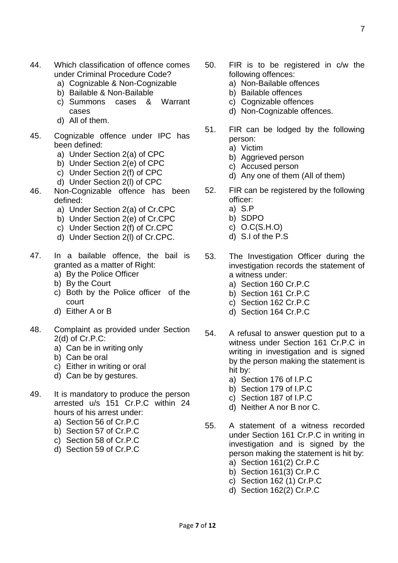- 44. Which classification of offence comes under Criminal Procedure Code?
	- a) Cognizable & Non-Cognizable
	- b) Bailable & Non-Bailable
	- c) Summons cases & Warrant cases
	- d) All of them.
- 45. Cognizable offence under IPC has been defined:
	- a) Under Section 2(a) of CPC
	- b) Under Section 2(e) of CPC
	- c) Under Section 2(f) of CPC
	- d) Under Section 2(l) of CPC
- 46. Non-Cognizable offence has been defined:
	- a) Under Section 2(a) of Cr.CPC
	- b) Under Section 2(e) of Cr.CPC
	- c) Under Section 2(f) of Cr.CPC
	- d) Under Section 2(l) of Cr.CPC.
- 47. In a bailable offence, the bail is granted as a matter of Right:
	- a) By the Police Officer
	- b) By the Court
	- c) Both by the Police officer of the court
	- d) Either A or B
- 48. Complaint as provided under Section 2(d) of Cr.P.C:
	- a) Can be in writing only
	- b) Can be oral
	- c) Either in writing or oral
	- d) Can be by gestures.
- 49. It is mandatory to produce the person arrested u/s 151 Cr.P.C within 24 hours of his arrest under:
	- a) Section 56 of Cr.P.C
	- b) Section 57 of Cr.P.C
	- c) Section 58 of Cr.P.C
	- d) Section 59 of Cr.P.C
- 50. FIR is to be registered in c/w the following offences:
	- a) Non-Bailable offences
	- b) Bailable offences
	- c) Cognizable offences
	- d) Non-Cognizable offences.
- 51. FIR can be lodged by the following person:
	- a) Victim
	- b) Aggrieved person
	- c) Accused person
	- d) Any one of them (All of them)
- 52. FIR can be registered by the following officer:
	- a) S.P
	- b) SDPO
	- c) O.C(S.H.O)
	- d) S.I of the P.S
- 53. The Investigation Officer during the investigation records the statement of a witness under:
	- a) Section 160 Cr.P.C
	- b) Section 161 Cr.P.C
	- c) Section 162 Cr.P.C
	- d) Section 164 Cr.P.C
- 54. A refusal to answer question put to a witness under Section 161 Cr.P.C in writing in investigation and is signed by the person making the statement is hit by:
	- a) Section 176 of I.P.C
	- b) Section 179 of I.P.C
	- c) Section 187 of I.P.C
	- d) Neither A nor B nor C.
- 55. A statement of a witness recorded under Section 161 Cr.P.C in writing in investigation and is signed by the person making the statement is hit by:
	- a) Section 161(2) Cr.P.C
	- b) Section 161(3) Cr.P.C
	- c) Section 162 (1) Cr.P.C
	- d) Section 162(2) Cr.P.C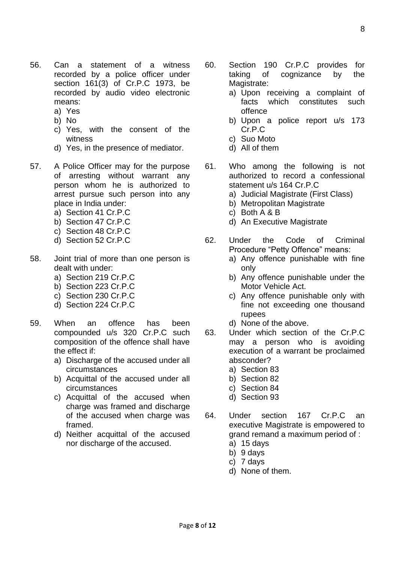Page **8** of **12**

- 56. Can a statement of a witness recorded by a police officer under section 161(3) of Cr.P.C 1973, be recorded by audio video electronic means:
	- a) Yes
	- b) No
	- c) Yes, with the consent of the witness
	- d) Yes, in the presence of mediator.
- 57. A Police Officer may for the purpose of arresting without warrant any person whom he is authorized to arrest pursue such person into any place in India under:
	- a) Section 41 Cr.P.C
	- b) Section 47 Cr.P.C
	- c) Section 48 Cr.P.C
	- d) Section 52 Cr.P.C
- 58. Joint trial of more than one person is dealt with under:
	- a) Section 219 Cr.P.C
	- b) Section 223 Cr.P.C
	- c) Section 230 Cr.P.C
	- d) Section 224 Cr.P.C
- 59. When an offence has been compounded u/s 320 Cr.P.C such composition of the offence shall have the effect if:
	- a) Discharge of the accused under all circumstances
	- b) Acquittal of the accused under all circumstances
	- c) Acquittal of the accused when charge was framed and discharge of the accused when charge was framed.
	- d) Neither acquittal of the accused nor discharge of the accused.
- 60. Section 190 Cr.P.C provides for taking of cognizance by the Magistrate:
	- a) Upon receiving a complaint of facts which constitutes such offence
	- b) Upon a police report u/s 173 Cr.P.C
	- c) Suo Moto
	- d) All of them
- 61. Who among the following is not authorized to record a confessional statement u/s 164 Cr.P.C
	- a) Judicial Magistrate (First Class)
	- b) Metropolitan Magistrate
	- c) Both A & B
	- d) An Executive Magistrate
- 62. Under the Code of Criminal Procedure "Petty Offence" means:
	- a) Any offence punishable with fine only
	- b) Any offence punishable under the Motor Vehicle Act.
	- c) Any offence punishable only with fine not exceeding one thousand rupees
	- d) None of the above.
- 63. Under which section of the Cr.P.C may a person who is avoiding execution of a warrant be proclaimed absconder?
	- a) Section 83
	- b) Section 82
	- c) Section 84
	- d) Section 93
- 64. Under section 167 Cr.P.C an executive Magistrate is empowered to grand remand a maximum period of :
	- a) 15 days
	- b) 9 days
	- c) 7 days
	- d) None of them.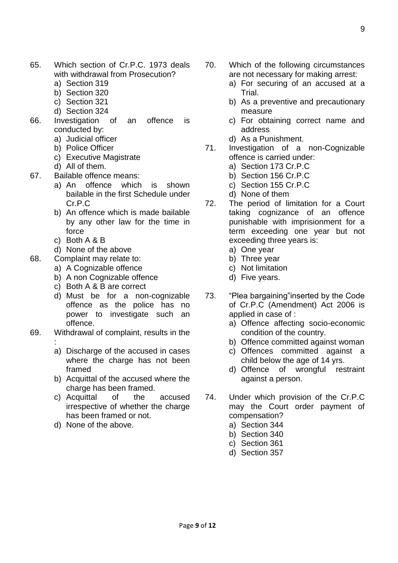- 65. Which section of Cr.P.C. 1973 deals with withdrawal from Prosecution?
	- a) Section 319
	- b) Section 320
	- c) Section 321
	- d) Section 324
- 66. Investigation of an offence is conducted by:
	- a) Judicial officer
	- b) Police Officer
	- c) Executive Magistrate
	- d) All of them.
- 67. Bailable offence means:
	- a) An offence which is shown bailable in the first Schedule under Cr.P.C.
	- b) An offence which is made bailable by any other law for the time in force
	- c) Both A & B
	- d) None of the above
- 68. Complaint may relate to:
	- a) A Cognizable offence
	- b) A non Cognizable offence
	- c) Both A & B are correct
	- d) Must be for a non-cognizable offence as the police has no power to investigate such an offence.
- 69. Withdrawal of complaint, results in the :
	- a) Discharge of the accused in cases where the charge has not been framed
	- b) Acquittal of the accused where the charge has been framed.
	- c) Acquittal of the accused irrespective of whether the charge has been framed or not.
	- d) None of the above.
- 70. Which of the following circumstances are not necessary for making arrest:
	- a) For securing of an accused at a **Trial**
	- b) As a preventive and precautionary measure
	- c) For obtaining correct name and address
	- d) As a Punishment.
- 71. Investigation of a non-Cognizable offence is carried under:
	- a) Section 173 Cr.P.C
	- b) Section 156 Cr.P.C
	- c) Section 155 Cr.P.C
	- d) None of them
- 72. The period of limitation for a Court taking cognizance of an offence punishable with imprisionment for a term exceeding one year but not exceeding three years is:
	- a) One year
	- b) Three year
	- c) Not limitation
	- d) Five years.
- 73. "Plea bargaining"inserted by the Code of Cr.P.C (Amendment) Act 2006 is applied in case of :
	- a) Offence affecting socio-economic condition of the country.
	- b) Offence committed against woman
	- c) Offences committed against a child below the age of 14 yrs.
	- d) Offence of wrongful restraint against a person.
- 74. Under which provision of the Cr.P.C may the Court order payment of compensation?
	- a) Section 344
	- b) Section 340
	- c) Section 361
	- d) Section 357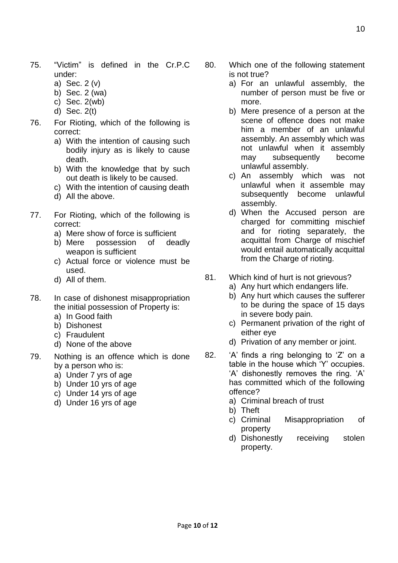- 75. "Victim" is defined in the Cr.P.C under:
	- a) Sec. 2 (v)
	- b) Sec. 2 (wa)
	- c) Sec. 2(wb)
	- d) Sec. 2(t)
- 76. For Rioting, which of the following is correct:
	- a) With the intention of causing such bodily injury as is likely to cause death.
	- b) With the knowledge that by such out death is likely to be caused.
	- c) With the intention of causing death
	- d) All the above.
- 77. For Rioting, which of the following is correct:
	- a) Mere show of force is sufficient
	- b) Mere possession of deadly weapon is sufficient
	- c) Actual force or violence must be used.
	- d) All of them.
- 78. In case of dishonest misappropriation the initial possession of Property is:
	- a) In Good faith
	- b) Dishonest
	- c) Fraudulent
	- d) None of the above
- 79. Nothing is an offence which is done by a person who is:
	- a) Under 7 yrs of age
	- b) Under 10 yrs of age
	- c) Under 14 yrs of age
	- d) Under 16 yrs of age
- 80. Which one of the following statement is not true?
	- a) For an unlawful assembly, the number of person must be five or more.
	- b) Mere presence of a person at the scene of offence does not make him a member of an unlawful assembly. An assembly which was not unlawful when it assembly may subsequently become unlawful assembly.
	- c) An assembly which was not unlawful when it assemble may subsequently become unlawful assembly.
	- d) When the Accused person are charged for committing mischief and for rioting separately, the acquittal from Charge of mischief would entail automatically acquittal from the Charge of rioting.
- 81. Which kind of hurt is not grievous?
	- a) Any hurt which endangers life.
	- b) Any hurt which causes the sufferer to be during the space of 15 days in severe body pain.
	- c) Permanent privation of the right of either eye
	- d) Privation of any member or joint.
- 82. 'A' finds a ring belonging to 'Z' on a table in the house which 'Y' occupies. 'A' dishonestly removes the ring. 'A' has committed which of the following offence?
	- a) Criminal breach of trust
	- b) Theft
	- c) Criminal Misappropriation of property
	- d) Dishonestly receiving stolen property.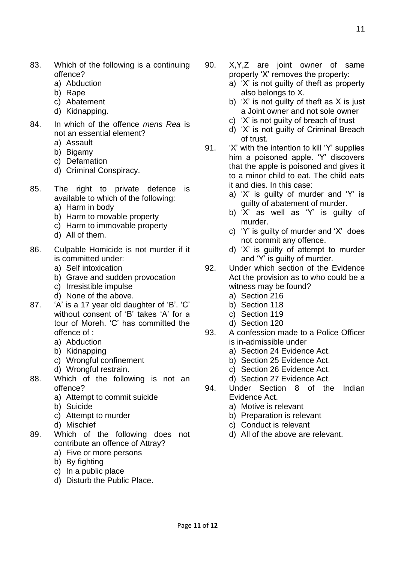- 83. Which of the following is a continuing offence?
	- a) Abduction
	- b) Rape
	- c) Abatement
	- d) Kidnapping.
- 84. In which of the offence *mens Rea* is not an essential element?
	- a) Assault
	- b) Bigamy
	- c) Defamation
	- d) Criminal Conspiracy.
- 85. The right to private defence is available to which of the following:
	- a) Harm in body
	- b) Harm to movable property
	- c) Harm to immovable property
	- d) All of them.
- 86. Culpable Homicide is not murder if it is committed under:
	- a) Self intoxication
	- b) Grave and sudden provocation
	- c) Irresistible impulse
	- d) None of the above.
- 87. 'A' is a 17 year old daughter of 'B'. 'C' without consent of 'B' takes 'A' for a tour of Moreh. 'C' has committed the offence of :
	- a) Abduction
	- b) Kidnapping
	- c) Wrongful confinement
	- d) Wrongful restrain.
- 88. Which of the following is not an offence?
	- a) Attempt to commit suicide
	- b) Suicide
	- c) Attempt to murder
	- d) Mischief
- 89. Which of the following does not contribute an offence of Attray?
	- a) Five or more persons
	- b) By fighting
	- c) In a public place
	- d) Disturb the Public Place.
- 90. X,Y,Z are joint owner of same property 'X' removes the property:
	- a) 'X' is not guilty of theft as property also belongs to X.
	- b) 'X' is not guilty of theft as X is just a Joint owner and not sole owner
	- c) 'X' is not guilty of breach of trust
	- d) 'X' is not guilty of Criminal Breach of trust.
- 91. 'X' with the intention to kill 'Y' supplies him a poisoned apple. 'Y' discovers that the apple is poisoned and gives it to a minor child to eat. The child eats it and dies. In this case:
	- a) 'X' is guilty of murder and 'Y' is guilty of abatement of murder.
	- b) 'X' as well as 'Y' is guilty of murder.
	- c) 'Y' is guilty of murder and 'X' does not commit any offence.
	- d) 'X' is guilty of attempt to murder and 'Y' is guilty of murder.
- 92. Under which section of the Evidence Act the provision as to who could be a witness may be found?
	- a) Section 216
	- b) Section 118
	- c) Section 119
	- d) Section 120
- 93. A confession made to a Police Officer is in-admissible under
	- a) Section 24 Evidence Act.
	- b) Section 25 Evidence Act.
	- c) Section 26 Evidence Act.
	- d) Section 27 Evidence Act.
- 94. Under Section 8 of the Indian Evidence Act.
	- a) Motive is relevant
	- b) Preparation is relevant
	- c) Conduct is relevant
	- d) All of the above are relevant.